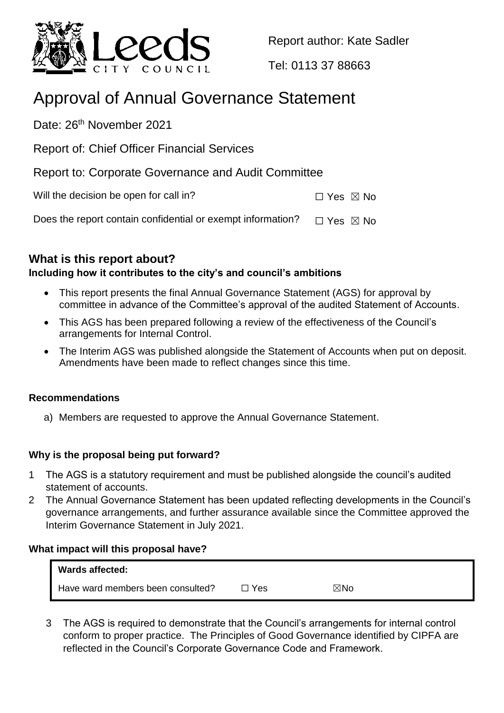

Report author: Kate Sadler

[Tel: 0113](Tel:0113) 37 88663

# Approval of Annual Governance Statement

Date: 26<sup>th</sup> November 2021

Report of: Chief Officer Financial Services

Report to: Corporate Governance and Audit Committee

Will the decision be open for call in?  $\Box$  Yes  $\boxtimes$  No

Does the report contain confidential or exempt information?  $\Box$  Yes  $\boxtimes$  No

**What is this report about?**

## **Including how it contributes to the city's and council's ambitions**

- This report presents the final Annual Governance Statement (AGS) for approval by committee in advance of the Committee's approval of the audited Statement of Accounts.
- This AGS has been prepared following a review of the effectiveness of the Council's arrangements for Internal Control.
- The Interim AGS was published alongside the Statement of Accounts when put on deposit. Amendments have been made to reflect changes since this time.

## **Recommendations**

a) Members are requested to approve the Annual Governance Statement.

## **Why is the proposal being put forward?**

- 1 The AGS is a statutory requirement and must be published alongside the council's audited statement of accounts.
- 2 The Annual Governance Statement has been updated reflecting developments in the Council's governance arrangements, and further assurance available since the Committee approved the Interim Governance Statement in July 2021.

## **What impact will this proposal have?**

| Wards affected:                   |       |                |
|-----------------------------------|-------|----------------|
| Have ward members been consulted? | □ Yes | $\boxtimes$ No |

3 The AGS is required to demonstrate that the Council's arrangements for internal control conform to proper practice. The Principles of Good Governance identified by CIPFA are reflected in the Council's Corporate Governance Code and Framework.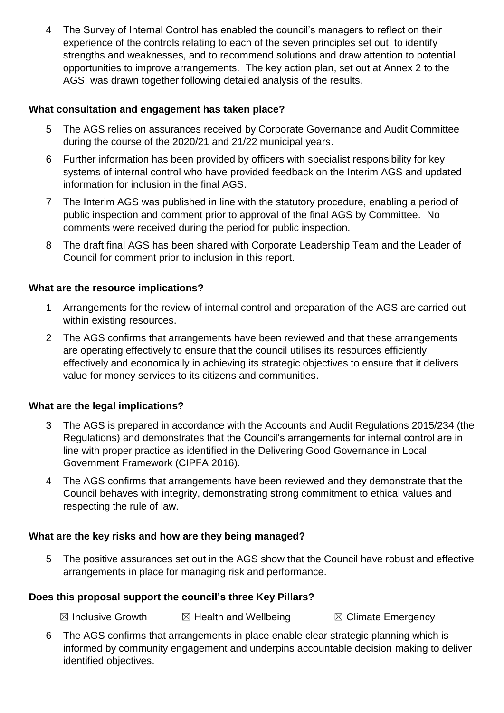4 The Survey of Internal Control has enabled the council's managers to reflect on their experience of the controls relating to each of the seven principles set out, to identify strengths and weaknesses, and to recommend solutions and draw attention to potential opportunities to improve arrangements. The key action plan, set out at Annex 2 to the AGS, was drawn together following detailed analysis of the results.

## **What consultation and engagement has taken place?**

- 5 The AGS relies on assurances received by Corporate Governance and Audit Committee during the course of the 2020/21 and 21/22 municipal years.
- 6 Further information has been provided by officers with specialist responsibility for key systems of internal control who have provided feedback on the Interim AGS and updated information for inclusion in the final AGS.
- 7 The Interim AGS was published in line with the statutory procedure, enabling a period of public inspection and comment prior to approval of the final AGS by Committee. No comments were received during the period for public inspection.
- 8 The draft final AGS has been shared with Corporate Leadership Team and the Leader of Council for comment prior to inclusion in this report.

## **What are the resource implications?**

- 1 Arrangements for the review of internal control and preparation of the AGS are carried out within existing resources.
- 2 The AGS confirms that arrangements have been reviewed and that these arrangements are operating effectively to ensure that the council utilises its resources efficiently, effectively and economically in achieving its strategic objectives to ensure that it delivers value for money services to its citizens and communities.

#### **What are the legal implications?**

- 3 The AGS is prepared in accordance with the Accounts and Audit Regulations 2015/234 (the Regulations) and demonstrates that the Council's arrangements for internal control are in line with proper practice as identified in the Delivering Good Governance in Local Government Framework (CIPFA 2016).
- 4 The AGS confirms that arrangements have been reviewed and they demonstrate that the Council behaves with integrity, demonstrating strong commitment to ethical values and respecting the rule of law.

## **What are the key risks and how are they being managed?**

5 The positive assurances set out in the AGS show that the Council have robust and effective arrangements in place for managing risk and performance.

#### **Does this proposal support the council's three Key Pillars?**

 $\boxtimes$  Inclusive Growth  $\boxtimes$  Health and Wellbeing  $\boxtimes$  Climate Emergency

6 The AGS confirms that arrangements in place enable clear strategic planning which is informed by community engagement and underpins accountable decision making to deliver identified objectives.